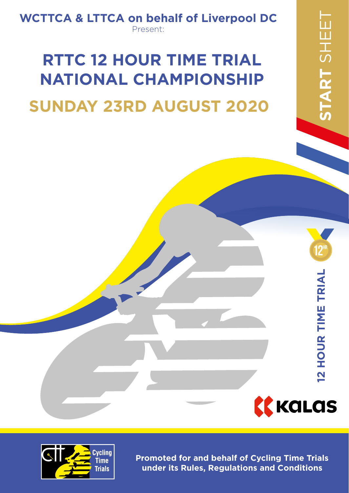### **WCTTCA & LTTCA on behalf of Liverpool DC** Present:

## **SUNDAY 23RD AUGUST 2020 RTTC 12 HOUR TIME TRIAL NATIONAL CHAMPIONSHIP**

**KKALAS** 

**12 HOUR TIME TRIAL**

**12 HOUR TIME TRIAL** 

**12hr**



**Promoted for and behalf of Cycling Time Trials under its Rules, Regulations and Conditions**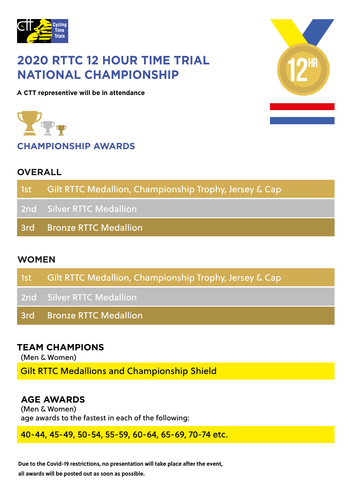

### **2020 RTTC 12 HOUR TIME TRIAL NATIONAL CHAMPIONSHIP**

**A CTT representive will be in attendance**

**CHAMPIONSHIP AWARDS**

### **OVERALL**

| 1st Gilt RTTC Medallion, Championship Trophy, Jersey & Cap |
|------------------------------------------------------------|
| 2nd Silver RTTC Medallion                                  |
| 3rd Bronze RTTC Medallion                                  |
|                                                            |

### **WOMEN**

| 1st Gilt RTTC Medallion, Championship Trophy, Jersey & Cap, |
|-------------------------------------------------------------|
| 2nd Silver RTTC Medallion                                   |
| 3rd Bronze RTTC Medallion                                   |

### **TEAM CHAMPIONS**

(Men & Women)

Gilt RTTC Medallions and Championship Shield

### **AGE AWARDS**

(Men & Women) age awards to the fastest in each of the following:

40-44, 45-49, 50-54, 55-59, 60-64, 65-69, 70-74 etc.

Due to the Covid-19 restrictions, no presentation will take place after the event, **all awards will be posted out as soon as possible.**

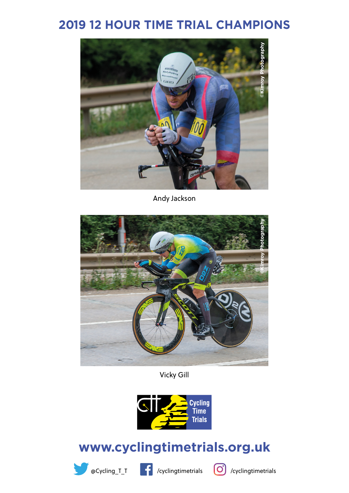### **2019 12 HOUR TIME TRIAL CHAMPIONS**



Andy Jackson



Vicky Gill



### **www.cyclingtimetrials.org.uk**